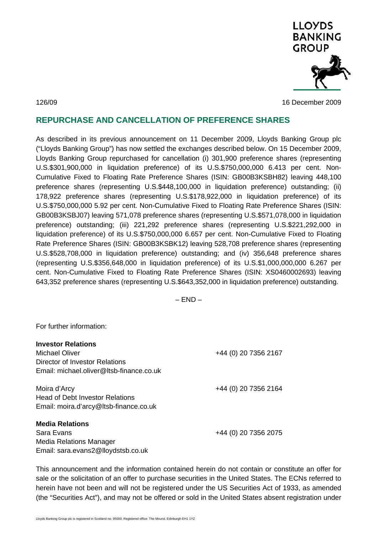

126/09 16 December 2009

## **REPURCHASE AND CANCELLATION OF PREFERENCE SHARES**

As described in its previous announcement on 11 December 2009, Lloyds Banking Group plc ("Lloyds Banking Group") has now settled the exchanges described below. On 15 December 2009, Lloyds Banking Group repurchased for cancellation (i) 301,900 preference shares (representing U.S.\$301,900,000 in liquidation preference) of its U.S.\$750,000,000 6.413 per cent. Non-Cumulative Fixed to Floating Rate Preference Shares (ISIN: GB00B3KSBH82) leaving 448,100 preference shares (representing U.S.\$448,100,000 in liquidation preference) outstanding; (ii) 178,922 preference shares (representing U.S.\$178,922,000 in liquidation preference) of its U.S.\$750,000,000 5.92 per cent. Non-Cumulative Fixed to Floating Rate Preference Shares (ISIN: GB00B3KSBJ07) leaving 571,078 preference shares (representing U.S.\$571,078,000 in liquidation preference) outstanding; (iii) 221,292 preference shares (representing U.S.\$221,292,000 in liquidation preference) of its U.S.\$750,000,000 6.657 per cent. Non-Cumulative Fixed to Floating Rate Preference Shares (ISIN: GB00B3KSBK12) leaving 528,708 preference shares (representing U.S.\$528,708,000 in liquidation preference) outstanding; and (iv) 356,648 preference shares (representing U.S.\$356,648,000 in liquidation preference) of its U.S.\$1,000,000,000 6.267 per cent. Non-Cumulative Fixed to Floating Rate Preference Shares (ISIN: XS0460002693) leaving 643,352 preference shares (representing U.S.\$643,352,000 in liquidation preference) outstanding.

 $-$  END  $-$ 

For further information:

| <b>Investor Relations</b><br>Michael Oliver<br>Director of Investor Relations<br>Email: michael.oliver@ltsb-finance.co.uk | +44 (0) 20 7356 2167 |
|---------------------------------------------------------------------------------------------------------------------------|----------------------|
| Moira d'Arcy<br>Head of Debt Investor Relations<br>Email: moira.d'arcy@ltsb-finance.co.uk                                 | +44 (0) 20 7356 2164 |
| <b>Media Relations</b><br>Sara Evans<br>Media Relations Manager<br>Email: sara.evans2@lloydstsb.co.uk                     | +44 (0) 20 7356 2075 |

This announcement and the information contained herein do not contain or constitute an offer for sale or the solicitation of an offer to purchase securities in the United States. The ECNs referred to herein have not been and will not be registered under the US Securities Act of 1933, as amended (the "Securities Act"), and may not be offered or sold in the United States absent registration under